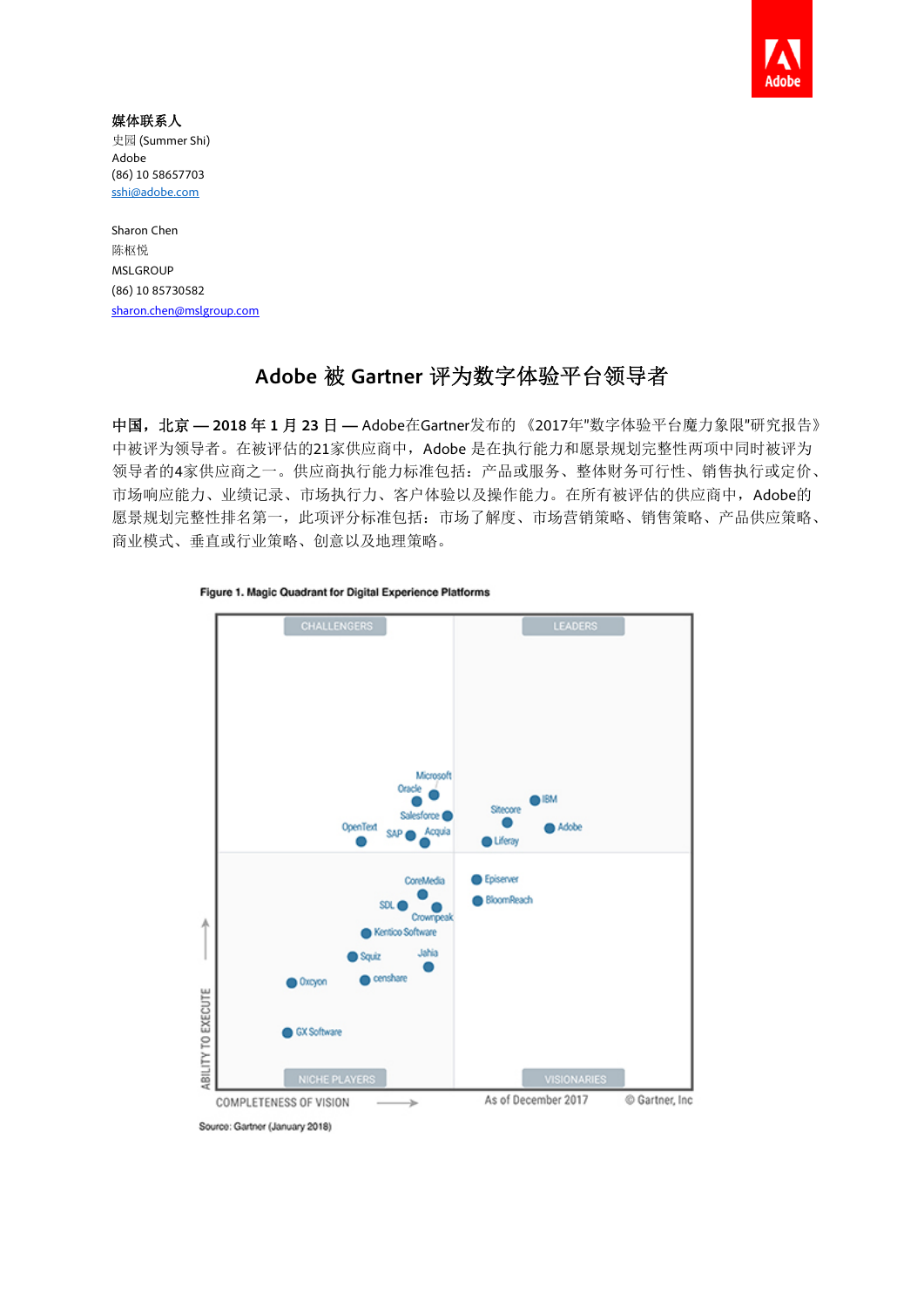

#### 媒体联系人 史园 (Summer Shi)

Adobe (86) 10 58657703 sshi@adobe.com

Sharon Chen 陈枢悦 MSLGROUP (86) 10 85730582 sharon.chen@mslgroup.com

# **Adobe** 被 **Gartner** 评为数字体验平台领导者

中国,北京 **— 2018** 年 **1** 月 **23** 日 **—** Adobe在Gartner发布的 《2017年"数字体验平台魔力象限"研究报告》 中被评为领导者。在被评估的21家供应商中, Adobe 是在执行能力和愿景规划完整性两项中同时被评为 领导者的4家供应商之一。供应商执行能力标准包括:产品或服务、整体财务可行性、销售执行或定价、 市场响应能力、业绩记录、市场执行力、客户体验以及操作能力。在所有被评估的供应商中,Adobe的 愿景规划完整性排名第一,此项评分标准包括:市场了解度、市场营销策略、销售策略、产品供应策略、 商业模式、垂直或行业策略、创意以及地理策略。



Figure 1. Magic Quadrant for Digital Experience Platforms

Source: Gartner (January 2018)